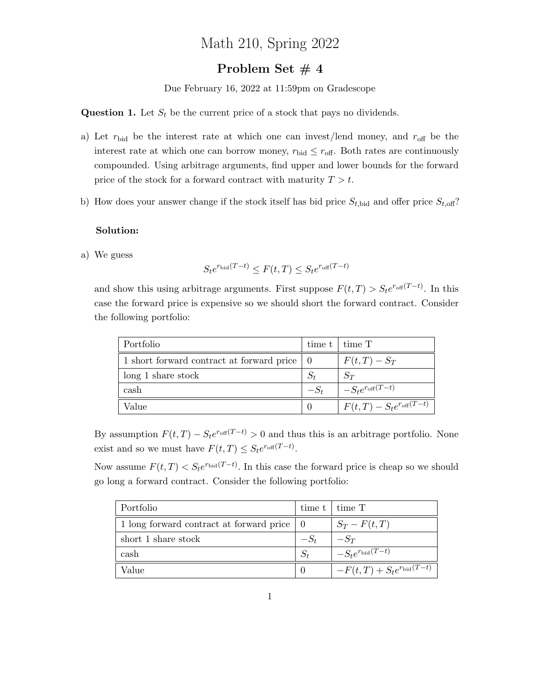# Math 210, Spring 2022

## Problem Set #4

Due February 16, 2022 at 11:59pm on Gradescope

**Question 1.** Let  $S_t$  be the current price of a stock that pays no dividends.

- a) Let  $r_{\text{bid}}$  be the interest rate at which one can invest/lend money, and  $r_{\text{off}}$  be the interest rate at which one can borrow money,  $r_{\text{bid}} \leq r_{\text{off}}$ . Both rates are continuously compounded. Using arbitrage arguments, find upper and lower bounds for the forward price of the stock for a forward contract with maturity  $T > t$ .
- b) How does your answer change if the stock itself has bid price  $S_{t, \text{bid}}$  and offer price  $S_{t, \text{off}}$ ?

#### Solution:

a) We guess

$$
S_t e^{r_{\text{bid}}(T-t)} \le F(t,T) \le S_t e^{r_{\text{off}}(T-t)}
$$

and show this using arbitrage arguments. First suppose  $F(t,T) > S_t e^{r_{\text{off}}(T-t)}$ . In this case the forward price is expensive so we should short the forward contract. Consider the following portfolio:

| Portfolio                                     |        | time $t$   time $T$                    |
|-----------------------------------------------|--------|----------------------------------------|
| 1 short forward contract at forward price   0 |        | $F(t,T) - S_T$                         |
| $\log 1$ share stock                          |        | $S_T$                                  |
| cash                                          | $-S_t$ | $- S_t e^{r_{\text{off}}(T-t)}$        |
| Value                                         |        | $F(t,T) - S_t e^{r_{\text{off}}(T-t)}$ |

By assumption  $F(t,T) - S_t e^{r_{\text{off}}(T-t)} > 0$  and thus this is an arbitrage portfolio. None exist and so we must have  $F(t,T) \leq S_t e^{r_{\text{off}}(T-t)}$ .

Now assume  $F(t,T) < S_t e^{r_{\text{bid}}(T-t)}$ . In this case the forward price is cheap so we should go long a forward contract. Consider the following portfolio:

| Portfolio                                | time t | $\pm$ time T                              |
|------------------------------------------|--------|-------------------------------------------|
| 1 long forward contract at forward price |        | $S_T-F(t,T)$                              |
| short 1 share stock                      | $-S_t$ | $-S_T$                                    |
| cash                                     | $S_t$  | $-S_t e^{r_{\text{bid}}(T-\overline{t})}$ |
| Value                                    |        | $-F(t,T) + S_t e^{r_{\text{bid}}(T-t)}$   |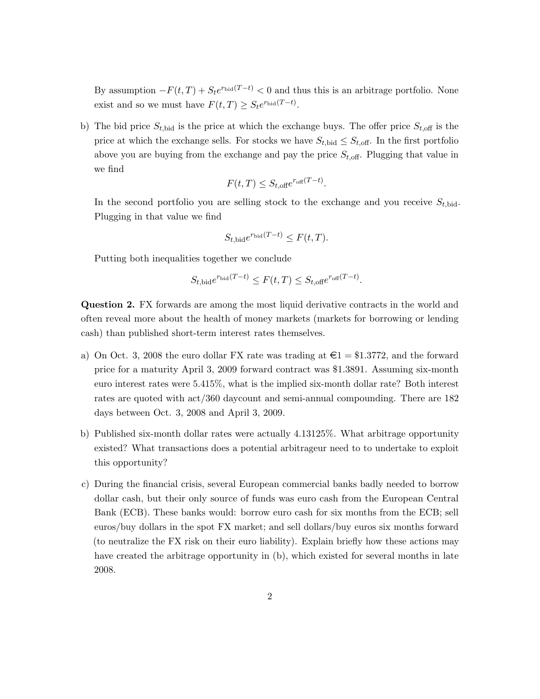By assumption  $-F(t,T) + S_t e^{r_{\text{bid}}(T-t)} < 0$  and thus this is an arbitrage portfolio. None exist and so we must have  $F(t,T) \geq S_t e^{r_{\text{bid}}(T-t)}$ .

b) The bid price  $S_{t, \text{bid}}$  is the price at which the exchange buys. The offer price  $S_{t, \text{off}}$  is the price at which the exchange sells. For stocks we have  $S_{t, \text{bid}} \leq S_{t, \text{off}}$ . In the first portfolio above you are buying from the exchange and pay the price  $S_{t,\text{off}}$ . Plugging that value in we find

$$
F(t,T) \le S_{t,\text{off}} e^{r_{\text{off}}(T-t)}.
$$

In the second portfolio you are selling stock to the exchange and you receive  $S_{t, bid}$ . Plugging in that value we find

$$
S_{t, \text{bid}} e^{r_{\text{bid}}(T-t)} \le F(t, T).
$$

Putting both inequalities together we conclude

$$
S_{t,\text{bid}} e^{r_{\text{bid}}(T-t)} \le F(t,T) \le S_{t,\text{off}} e^{r_{\text{off}}(T-t)}.
$$

Question 2. FX forwards are among the most liquid derivative contracts in the world and often reveal more about the health of money markets (markets for borrowing or lending cash) than published short-term interest rates themselves.

- a) On Oct. 3, 2008 the euro dollar FX rate was trading at  $\epsilon = \text{\$1.3772},$  and the forward price for a maturity April 3, 2009 forward contract was \$1.3891. Assuming six-month euro interest rates were 5.415%, what is the implied six-month dollar rate? Both interest rates are quoted with act/360 daycount and semi-annual compounding. There are 182 days between Oct. 3, 2008 and April 3, 2009.
- b) Published six-month dollar rates were actually 4.13125%. What arbitrage opportunity existed? What transactions does a potential arbitrageur need to to undertake to exploit this opportunity?
- c) During the financial crisis, several European commercial banks badly needed to borrow dollar cash, but their only source of funds was euro cash from the European Central Bank (ECB). These banks would: borrow euro cash for six months from the ECB; sell euros/buy dollars in the spot FX market; and sell dollars/buy euros six months forward (to neutralize the FX risk on their euro liability). Explain briefly how these actions may have created the arbitrage opportunity in (b), which existed for several months in late 2008.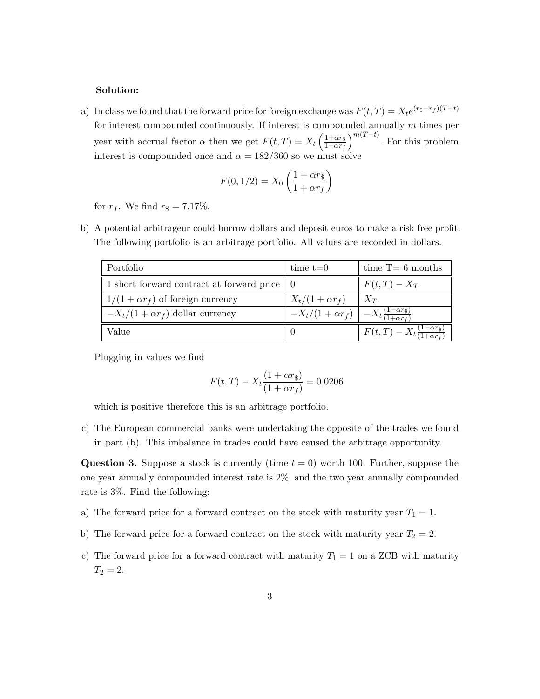#### Solution:

a) In class we found that the forward price for foreign exchange was  $F(t,T) = X_t e^{(r_{\$}-r_{f})(T-t)}$ for interest compounded continuously. If interest is compounded annually  $m$  times per year with accrual factor  $\alpha$  then we get  $F(t,T) = X_t \left( \frac{1+\alpha r_s}{1+\alpha r_s} \right)$  $1+\alpha r_f$  $\int_{0}^{m(T-t)}$ . For this problem interest is compounded once and  $\alpha = 182/360$  so we must solve

$$
F(0, 1/2) = X_0 \left(\frac{1 + \alpha r_{\rm s}}{1 + \alpha r_f}\right)
$$

for  $r_f$ . We find  $r_{\$} = 7.17\%$ .

b) A potential arbitrageur could borrow dollars and deposit euros to make a risk free profit. The following portfolio is an arbitrage portfolio. All values are recorded in dollars.

| Portfolio                                     | time $t=0$                                                           | time $T=6$ months                                                |
|-----------------------------------------------|----------------------------------------------------------------------|------------------------------------------------------------------|
| 1 short forward contract at forward price   0 |                                                                      | $F(t,T)-X_T$                                                     |
| $1/(1+\alpha r_f)$ of foreign currency        | $X_t/(1+\alpha r_f)$                                                 | $X_T$                                                            |
| $-X_t/(1+\alpha r_f)$ dollar currency         | $-X_t/(1+\alpha r_f)\Big  -X_t\frac{(1+\alpha r_s)}{(1+\alpha r_f)}$ |                                                                  |
| Value                                         | 0                                                                    | $F(t,T) - X_t \frac{(1+\alpha r_{\rm s})}{(1+\alpha r_{\rm f})}$ |

Plugging in values we find

$$
F(t,T) - X_t \frac{(1+\alpha r_{\rm s})}{(1+\alpha r_f)} = 0.0206
$$

which is positive therefore this is an arbitrage portfolio.

c) The European commercial banks were undertaking the opposite of the trades we found in part (b). This imbalance in trades could have caused the arbitrage opportunity.

**Question 3.** Suppose a stock is currently (time  $t = 0$ ) worth 100. Further, suppose the one year annually compounded interest rate is 2%, and the two year annually compounded rate is 3%. Find the following:

- a) The forward price for a forward contract on the stock with maturity year  $T_1 = 1$ .
- b) The forward price for a forward contract on the stock with maturity year  $T_2 = 2$ .
- c) The forward price for a forward contract with maturity  $T_1 = 1$  on a ZCB with maturity  $T_2 = 2.$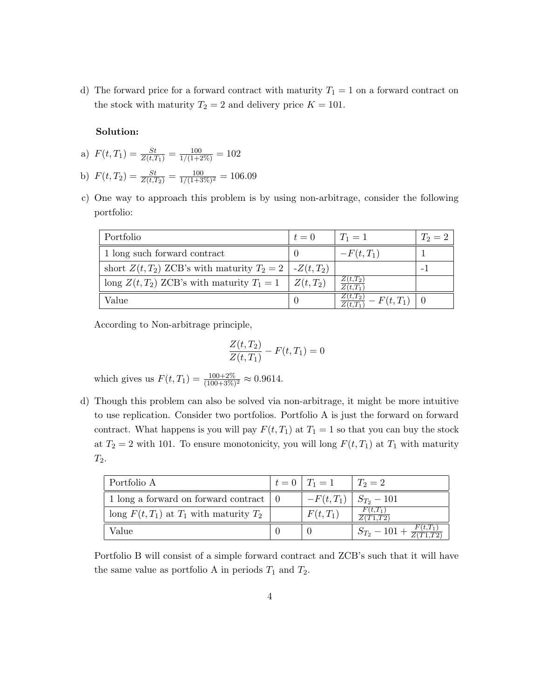d) The forward price for a forward contract with maturity  $T_1 = 1$  on a forward contract on the stock with maturity  $T_2 = 2$  and delivery price  $K = 101$ .

### Solution:

a) 
$$
F(t,T_1) = \frac{St}{Z(t,T_1)} = \frac{100}{1/(1+2\%)} = 102
$$

- b)  $F(t, T_2) = \frac{St}{Z(t, T_2)} = \frac{100}{1/(1+3\%)^2} = 106.09$
- c) One way to approach this problem is by using non-arbitrage, consider the following portfolio:

| Portfolio                                                    | $t=0$      | $T_1 = 1$                                   | $T_2 = 2$ |
|--------------------------------------------------------------|------------|---------------------------------------------|-----------|
| 1 long such forward contract                                 |            | $-F(t,T_1)$                                 |           |
| short $Z(t,T_2)$ ZCB's with maturity $T_2 = 2 \mid Z(t,T_2)$ |            |                                             |           |
| long $Z(t, T_2)$ ZCB's with maturity $T_1 = 1$               | $Z(t,T_2)$ | $Z(t,T_2)$<br>$Z(t,T_1)$                    |           |
| Value                                                        |            | $Z(t,T_2)$<br>$-F(t,T_1)$   0<br>$Z(t,T_1)$ |           |

According to Non-arbitrage principle,

$$
\frac{Z(t, T_2)}{Z(t, T_1)} - F(t, T_1) = 0
$$

which gives us  $F(t, T_1) = \frac{100 + 2\%}{(100 + 3\%)^2} \approx 0.9614$ .

d) Though this problem can also be solved via non-arbitrage, it might be more intuitive to use replication. Consider two portfolios. Portfolio A is just the forward on forward contract. What happens is you will pay  $F(t, T_1)$  at  $T_1 = 1$  so that you can buy the stock at  $T_2 = 2$  with 101. To ensure monotonicity, you will long  $F(t, T_1)$  at  $T_1$  with maturity  $T_2$ .

| Portfolio A                                   | $t = 0$ $T_1 = 1$           | $T_2=2$                                         |
|-----------------------------------------------|-----------------------------|-------------------------------------------------|
| 1 long a forward on forward contract   0      | $-F(t,T_1)$ $S_{T_2}$ - 101 |                                                 |
| long $F(t, T_1)$ at $T_1$ with maturity $T_2$ | $F(t,T_1)$                  | $F(t,T_1)$<br>Z(T1,T2)                          |
| Value                                         |                             | $S_{T_2} - 101 + \frac{F(t,T_1)}{Z(T_1 + T_2)}$ |

Portfolio B will consist of a simple forward contract and ZCB's such that it will have the same value as portfolio A in periods  $T_1$  and  $T_2$ .